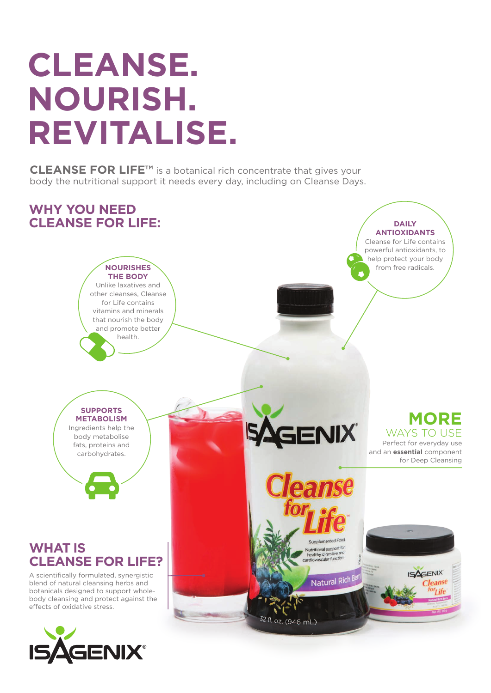# **CLEANSE. NOURISH. REVITALISE.**

**CLEANSE FOR LIFE™** is a botanical rich concentrate that gives your body the nutritional support it needs every day, including on Cleanse Days.